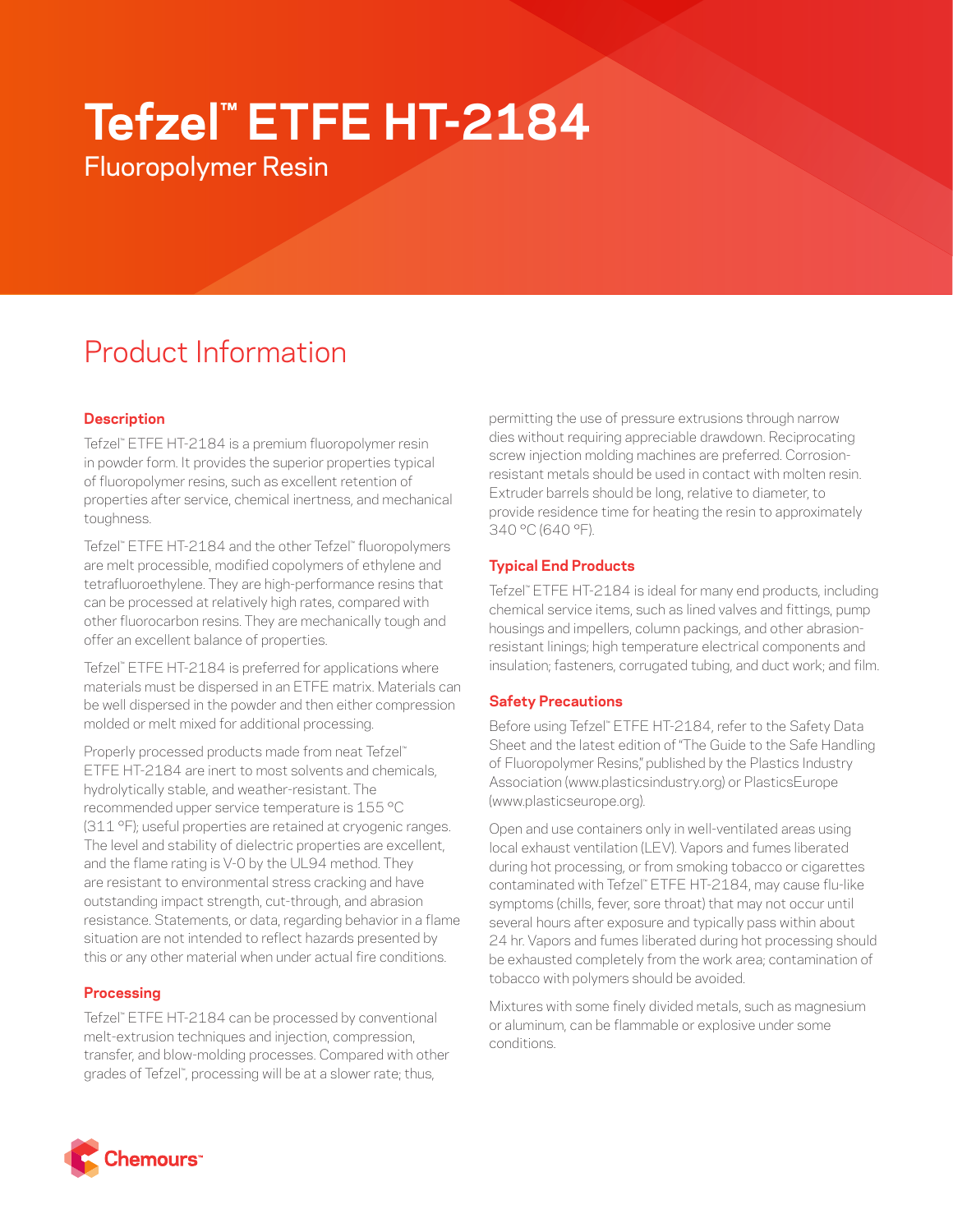# **Tefzel™ ETFE HT-2184**

Fluoropolymer Resin

# Product Information

# **Description**

Tefzel™ ETFE HT-2184 is a premium fluoropolymer resin in powder form. It provides the superior properties typical of fluoropolymer resins, such as excellent retention of properties after service, chemical inertness, and mechanical toughness.

Tefzel™ ETFE HT-2184 and the other Tefzel™ fluoropolymers are melt processible, modified copolymers of ethylene and tetrafluoroethylene. They are high-performance resins that can be processed at relatively high rates, compared with other fluorocarbon resins. They are mechanically tough and offer an excellent balance of properties.

Tefzel™ ETFE HT-2184 is preferred for applications where materials must be dispersed in an ETFE matrix. Materials can be well dispersed in the powder and then either compression molded or melt mixed for additional processing.

Properly processed products made from neat Tefzel™ ETFE HT-2184 are inert to most solvents and chemicals, hydrolytically stable, and weather-resistant. The recommended upper service temperature is 155 °C (311 °F); useful properties are retained at cryogenic ranges. The level and stability of dielectric properties are excellent, and the flame rating is V-0 by the UL94 method. They are resistant to environmental stress cracking and have outstanding impact strength, cut-through, and abrasion resistance. Statements, or data, regarding behavior in a flame situation are not intended to reflect hazards presented by this or any other material when under actual fire conditions.

# **Processing**

Tefzel™ ETFE HT-2184 can be processed by conventional melt-extrusion techniques and injection, compression, transfer, and blow-molding processes. Compared with other grades of Tefzel™ , processing will be at a slower rate; thus,

permitting the use of pressure extrusions through narrow dies without requiring appreciable drawdown. Reciprocating screw injection molding machines are preferred. Corrosionresistant metals should be used in contact with molten resin. Extruder barrels should be long, relative to diameter, to provide residence time for heating the resin to approximately 340 °C (640 °F).

# **Typical End Products**

Tefzel™ ETFE HT-2184 is ideal for many end products, including chemical service items, such as lined valves and fittings, pump housings and impellers, column packings, and other abrasionresistant linings; high temperature electrical components and insulation; fasteners, corrugated tubing, and duct work; and film.

# **Safety Precautions**

Before using Tefzel™ ETFE HT-2184, refer to the Safety Data Sheet and the latest edition of "The Guide to the Safe Handling of Fluoropolymer Resins," published by the Plastics Industry Association [\(www.plasticsindustry.org\)](http://www.plasticsindustry.org) or PlasticsEurope [\(www.plasticseurope.org](http://www.plasticseurope.org)).

Open and use containers only in well-ventilated areas using local exhaust ventilation (LEV). Vapors and fumes liberated during hot processing, or from smoking tobacco or cigarettes contaminated with Tefzel™ ETFE HT-2184, may cause flu-like symptoms (chills, fever, sore throat) that may not occur until several hours after exposure and typically pass within about 24 hr. Vapors and fumes liberated during hot processing should be exhausted completely from the work area; contamination of tobacco with polymers should be avoided.

Mixtures with some finely divided metals, such as magnesium or aluminum, can be flammable or explosive under some conditions.